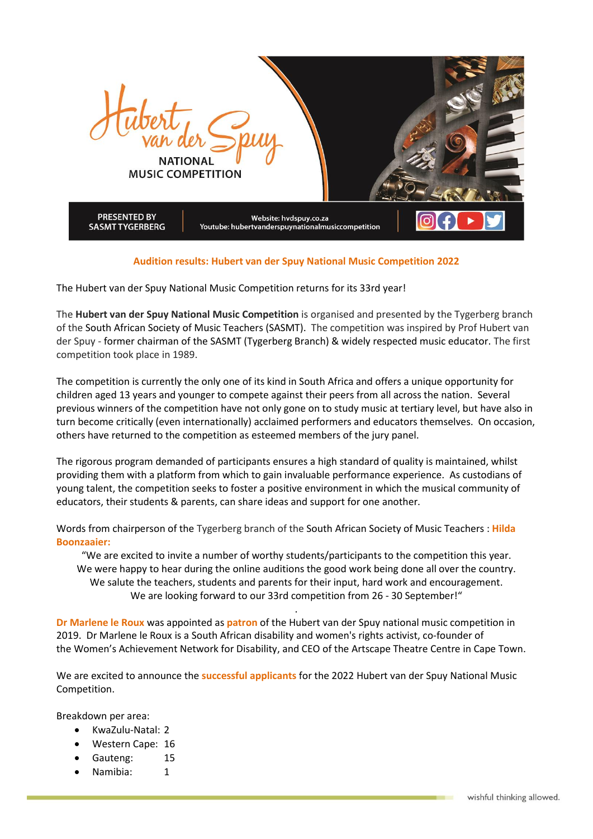

## **Audition results: Hubert van der Spuy National Music Competition 2022**

The Hubert van der Spuy National Music Competition returns for its 33rd year!

The **Hubert van der Spuy National Music Competition** is organised and presented by the Tygerberg branch of the South African Society of Music [Teachers](http://www.sasmt-savmo.org.za/) (SASMT). The competition was inspired by Prof Hubert van der Spuy - former chairman of the SASMT (Tygerberg Branch) & widely respected music educator. The first competition took place in 1989.

The competition is currently the only one of its kind in South Africa and offers a unique opportunity for children aged 13 years and younger to compete against their peers from all across the nation. Several previous winners of the competition have not only gone on to study music at tertiary level, but have also in turn become critically (even internationally) acclaimed performers and educators themselves. On occasion, others have returned to the competition as esteemed members of the jury panel.

The rigorous program demanded of participants ensures a high standard of quality is maintained, whilst providing them with a platform from which to gain invaluable performance experience. As custodians of young talent, the competition seeks to foster a positive environment in which the musical community of educators, their students & parents, can share ideas and support for one another.

Words from chairperson of the Tygerberg branch of the South African Society of Music [Teachers](http://www.sasmt-savmo.org.za/) : **Hilda Boonzaaier:**

"We are excited to invite a number of worthy students/participants to the competition this year. We were happy to hear during the online auditions the good work being done all over the country. We salute the teachers, students and parents for their input, hard work and encouragement. We are looking forward to our 33rd competition from 26 - 30 September!"

.

**Dr Marlene le Roux** was appointed as **patron** of the Hubert van der Spuy national music competition in 2019. Dr Marlene le Roux is a South African [disability](https://en.wikipedia.org/wiki/Disability_rights) and [women's rights](https://en.wikipedia.org/wiki/Women%27s_rights) activist, co-founder of the W[omen's Achievement Network for Disability](https://en.wikipedia.org/w/index.php?title=Women%E2%80%99s_Achievement_Network_for_Disability&action=edit&redlink=1), and [CEO](https://en.wikipedia.org/wiki/CEO) of the [Artscape Theatre Centre](https://en.wikipedia.org/wiki/Artscape_Theatre_Centre) in Cape Town.

We are excited to announce the **successful applicants** for the 2022 Hubert van der Spuy National Music Competition.

Breakdown per area:

- KwaZulu-Natal: 2
- Western Cape: 16
- Gauteng: 15
- Namibia: 1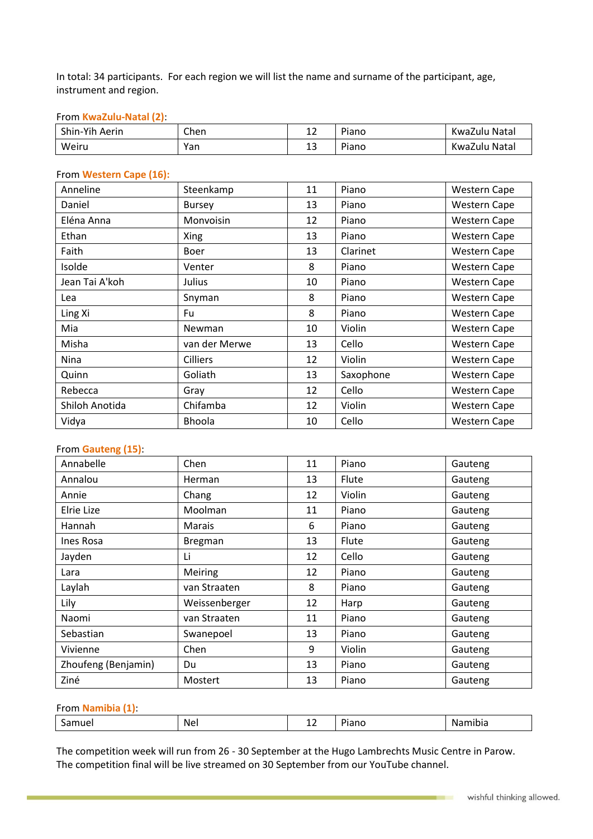In total: 34 participants. For each region we will list the name and surname of the participant, age, instrument and region.

## From **KwaZulu-Natal (2)**:

| Shin-Yih Aerin | Chen | ∸∸ | Piano | KwaZulu Natal |
|----------------|------|----|-------|---------------|
| Weiru          | Yan  | ᅩ  | Piano | KwaZulu Natal |

#### From **Western Cape (16):**

| Anneline       | Steenkamp       | 11 | Piano     | <b>Western Cape</b> |
|----------------|-----------------|----|-----------|---------------------|
| Daniel         | <b>Bursey</b>   | 13 | Piano     | <b>Western Cape</b> |
| Eléna Anna     | Monvoisin       | 12 | Piano     | Western Cape        |
| Ethan          | Xing            | 13 | Piano     | <b>Western Cape</b> |
| Faith          | Boer            | 13 | Clarinet  | <b>Western Cape</b> |
| Isolde         | Venter          | 8  | Piano     | <b>Western Cape</b> |
| Jean Tai A'koh | Julius          | 10 | Piano     | <b>Western Cape</b> |
| Lea            | Snyman          | 8  | Piano     | <b>Western Cape</b> |
| Ling Xi        | Fu              | 8  | Piano     | <b>Western Cape</b> |
| Mia            | Newman          | 10 | Violin    | <b>Western Cape</b> |
| Misha          | van der Merwe   | 13 | Cello     | <b>Western Cape</b> |
| Nina           | <b>Cilliers</b> | 12 | Violin    | <b>Western Cape</b> |
| Quinn          | Goliath         | 13 | Saxophone | <b>Western Cape</b> |
| Rebecca        | Gray            | 12 | Cello     | <b>Western Cape</b> |
| Shiloh Anotida | Chifamba        | 12 | Violin    | <b>Western Cape</b> |
| Vidya          | Bhoola          | 10 | Cello     | <b>Western Cape</b> |

# From **Gauteng (15)**:

| Annabelle           | Chen          | 11 | Piano  | Gauteng |
|---------------------|---------------|----|--------|---------|
| Annalou             | Herman        | 13 | Flute  | Gauteng |
| Annie               | Chang         | 12 | Violin | Gauteng |
| Elrie Lize          | Moolman       | 11 | Piano  | Gauteng |
| Hannah              | <b>Marais</b> | 6  | Piano  | Gauteng |
| Ines Rosa           | Bregman       | 13 | Flute  | Gauteng |
| Jayden              | Li            | 12 | Cello  | Gauteng |
| Lara                | Meiring       | 12 | Piano  | Gauteng |
| Laylah              | van Straaten  | 8  | Piano  | Gauteng |
| Lily                | Weissenberger | 12 | Harp   | Gauteng |
| Naomi               | van Straaten  | 11 | Piano  | Gauteng |
| Sebastian           | Swanepoel     | 13 | Piano  | Gauteng |
| Vivienne            | Chen          | 9  | Violin | Gauteng |
| Zhoufeng (Benjamin) | Du            | 13 | Piano  | Gauteng |
| Ziné                | Mostert       | 13 | Piano  | Gauteng |

# From **Namibia (1)**:

| Nei<br>Piano<br>mibia<br>Samuel<br>. . |
|----------------------------------------|
|----------------------------------------|

The competition week will run from 26 - 30 September at the Hugo Lambrechts Music Centre in Parow. The competition final will be live streamed on 30 September from our YouTube channel.